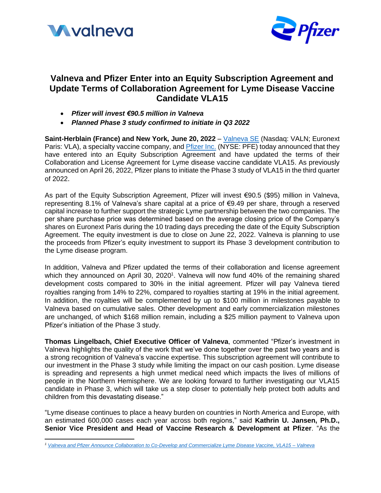



# **Valneva and Pfizer Enter into an Equity Subscription Agreement and Update Terms of Collaboration Agreement for Lyme Disease Vaccine Candidate VLA15**

- *Pfizer will invest €90.5 million in Valneva*
- *Planned Phase 3 study confirmed to initiate in Q3 2022*

**Saint-Herblain (France) and New York, June 20, 2022** – [Valneva SE](http://www.valneva.com/) (Nasdaq: VALN; Euronext Paris: VLA), a specialty vaccine company, and [Pfizer Inc.](http://www.pfizer.com/) (NYSE: PFE) today announced that they have entered into an Equity Subscription Agreement and have updated the terms of their Collaboration and License Agreement for Lyme disease vaccine candidate VLA15. As previously announced on April 26, 2022, Pfizer plans to initiate the Phase 3 study of VLA15 in the third quarter of 2022.

As part of the Equity Subscription Agreement, Pfizer will invest €90.5 (\$95) million in Valneva, representing 8.1% of Valneva's share capital at a price of €9.49 per share, through a reserved capital increase to further support the strategic Lyme partnership between the two companies. The per share purchase price was determined based on the average closing price of the Company's shares on Euronext Paris during the 10 trading days preceding the date of the Equity Subscription Agreement. The equity investment is due to close on June 22, 2022. Valneva is planning to use the proceeds from Pfizer's equity investment to support its Phase 3 development contribution to the Lyme disease program.

In addition, Valneva and Pfizer updated the terms of their collaboration and license agreement which they announced on April 30, 2020<sup>1</sup>. Valneva will now fund 40% of the remaining shared development costs compared to 30% in the initial agreement. Pfizer will pay Valneva tiered royalties ranging from 14% to 22%, compared to royalties starting at 19% in the initial agreement. In addition, the royalties will be complemented by up to \$100 million in milestones payable to Valneva based on cumulative sales. Other development and early commercialization milestones are unchanged, of which \$168 million remain, including a \$25 million payment to Valneva upon Pfizer's initiation of the Phase 3 study.

**Thomas Lingelbach, Chief Executive Officer of Valneva**, commented "Pfizer's investment in Valneva highlights the quality of the work that we've done together over the past two years and is a strong recognition of Valneva's vaccine expertise. This subscription agreement will contribute to our investment in the Phase 3 study while limiting the impact on our cash position. Lyme disease is spreading and represents a high unmet medical need which impacts the lives of millions of people in the Northern Hemisphere. We are looking forward to further investigating our VLA15 candidate in Phase 3, which will take us a step closer to potentially help protect both adults and children from this devastating disease."

"Lyme disease continues to place a heavy burden on countries in North America and Europe, with an estimated 600,000 cases each year across both regions," said **Kathrin U. Jansen, Ph.D., Senior Vice President and Head of Vaccine Research & Development at Pfizer**. "As the

*<sup>1</sup> [Valneva and Pfizer Announce Collaboration to Co-Develop and Commercialize Lyme Disease Vaccine, VLA15 –](https://valneva.com/press-release/valneva-and-pfizer-announce-collaboration-to-co-develop-and-commercialize-lyme-disease-vaccine-vla15/) Valneva*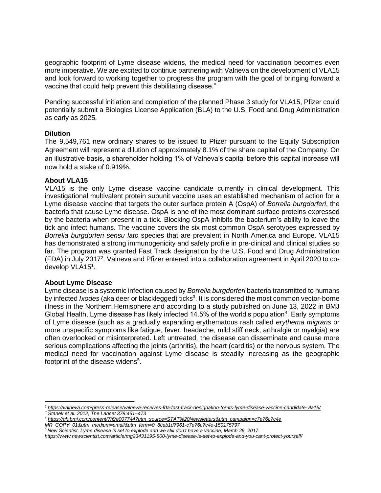geographic footprint of Lyme disease widens, the medical need for vaccination becomes even more imperative. We are excited to continue partnering with Valneva on the development of VLA15 and look forward to working together to progress the program with the goal of bringing forward a vaccine that could help prevent this debilitating disease."

Pending successful initiation and completion of the planned Phase 3 study for VLA15, Pfizer could potentially submit a Biologics License Application (BLA) to the U.S. Food and Drug Administration as early as 2025.

### **Dilution**

The 9,549,761 new ordinary shares to be issued to Pfizer pursuant to the Equity Subscription Agreement will represent a dilution of approximately 8.1% of the share capital of the Company. On an illustrative basis, a shareholder holding 1% of Valneva's capital before this capital increase will now hold a stake of 0.919%.

## **About VLA15**

VLA15 is the only Lyme disease vaccine candidate currently in clinical development. This investigational multivalent protein subunit vaccine uses an established mechanism of action for a Lyme disease vaccine that targets the outer surface protein A (OspA) of *Borrelia burgdorferi*, the bacteria that cause Lyme disease. OspA is one of the most dominant surface proteins expressed by the bacteria when present in a tick. Blocking OspA inhibits the bacterium's ability to leave the tick and infect humans. The vaccine covers the six most common OspA serotypes expressed by *Borrelia burgdorferi sensu lato* species that are prevalent in North America and Europe. VLA15 has demonstrated a strong immunogenicity and safety profile in pre-clinical and clinical studies so far. The program was granted Fast Track designation by the U.S. Food and Drug Administration (FDA) in July 2017<sup>2</sup>. Valneva and Pfizer entered into a collaboration agreement in April 2020 to codevelop VLA15<sup>1</sup>.

### **About Lyme Disease**

Lyme disease is a systemic infection caused by *Borrelia burgdorferi* bacteria transmitted to humans by infected *Ixodes* (aka deer or blacklegged) ticks<sup>3</sup>. It is considered the most common vector-borne illness in the Northern Hemisphere and according to a study published on June 13, 2022 in BMJ Global Health, Lyme disease has likely infected 14.5% of the world's population<sup>4</sup>. Early symptoms of Lyme disease (such as a gradually expanding erythematous rash called *erythema migrans* or more unspecific symptoms like fatigue, fever, headache, mild stiff neck, arthralgia or myalgia) are often overlooked or misinterpreted. Left untreated, the disease can disseminate and cause more serious complications affecting the joints (arthritis), the heart (carditis) or the nervous system. The medical need for vaccination against Lyme disease is steadily increasing as the geographic footprint of the disease widens<sup>5</sup>.

*<sup>2</sup> <https://valneva.com/press-release/valneva-receives-fda-fast-track-designation-for-its-lyme-disease-vaccine-candidate-vla15/> <sup>3</sup> Stanek et al. 2012, The Lancet 379:461–473*

*<sup>4</sup> [https://gh.bmj.com/content/7/6/e007744?utm\\_source=STAT%20Newsletters&utm\\_campaign=c7e76c7c4e](https://gh.bmj.com/content/7/6/e007744?utm_source=STAT%20Newsletters&utm_campaign=c7e76c7c4e)*

*MR\_COPY\_01&utm\_medium=email&utm\_term=0\_8cab1d7961-c7e76c7c4e-150175797*

*<sup>5</sup> New Scientist, Lyme disease is set to explode and we still don't have a vaccine; March 29, 2017.* 

*https://www.newscientist.com/article/mg23431195-800-lyme-disease-is-set-to-explode-and-you-cant-protect-yourself/*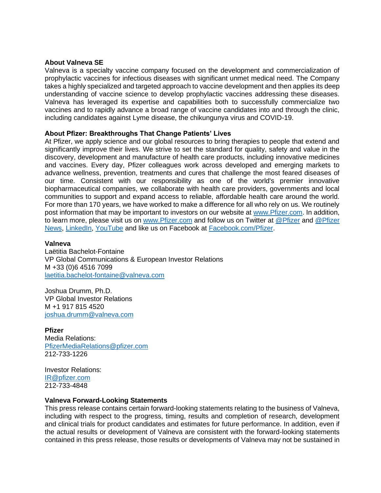#### **About Valneva SE**

Valneva is a specialty vaccine company focused on the development and commercialization of prophylactic vaccines for infectious diseases with significant unmet medical need. The Company takes a highly specialized and targeted approach to vaccine development and then applies its deep understanding of vaccine science to develop prophylactic vaccines addressing these diseases. Valneva has leveraged its expertise and capabilities both to successfully commercialize two vaccines and to rapidly advance a broad range of vaccine candidates into and through the clinic, including candidates against Lyme disease, the chikungunya virus and COVID-19.

### **About Pfizer: Breakthroughs That Change Patients' Lives**

At Pfizer, we apply science and our global resources to bring therapies to people that extend and significantly improve their lives. We strive to set the standard for quality, safety and value in the discovery, development and manufacture of health care products, including innovative medicines and vaccines. Every day, Pfizer colleagues work across developed and emerging markets to advance wellness, prevention, treatments and cures that challenge the most feared diseases of our time. Consistent with our responsibility as one of the world's premier innovative biopharmaceutical companies, we collaborate with health care providers, governments and local communities to support and expand access to reliable, affordable health care around the world. For more than 170 years, we have worked to make a difference for all who rely on us. We routinely post information that may be important to investors on our website at [www.Pfizer.com.](http://www.pfizer.com/) In addition, to learn more, please visit us on [www.Pfizer.com](http://www.pfizer.com/) and follow us on Twitter at [@Pfizer](https://twitter.com/pfizer) and [@Pfizer](https://twitter.com/pfizer_news)  [News,](https://twitter.com/pfizer_news) [LinkedIn,](https://www.linkedin.com/company/pfizer) [YouTube](https://www.youtube.com/pfizer) and like us on Facebook at [Facebook.com/Pfizer.](https://www.facebook.com/Pfizer/)

#### **Valneva**

Laëtitia Bachelot-Fontaine VP Global Communications & European Investor Relations M +33 (0)6 4516 7099 [laetitia.bachelot-fontaine@valneva.com](mailto:laetitia.bachelot-fontaine@valneva.com)

Joshua Drumm, Ph.D. VP Global Investor Relations M +1 917 815 4520 [joshua.drumm@valneva.com](mailto:joshua.drumm@valneva.com)

**Pfizer** Media Relations: [PfizerMediaRelations@pfizer.com](mailto:PfizerMediaRelations@pfizer.com) 212-733-1226

Investor Relations: [IR@pfizer.com](mailto:IR@pfizer.com) 212-733-4848

#### **Valneva Forward-Looking Statements**

This press release contains certain forward-looking statements relating to the business of Valneva, including with respect to the progress, timing, results and completion of research, development and clinical trials for product candidates and estimates for future performance. In addition, even if the actual results or development of Valneva are consistent with the forward-looking statements contained in this press release, those results or developments of Valneva may not be sustained in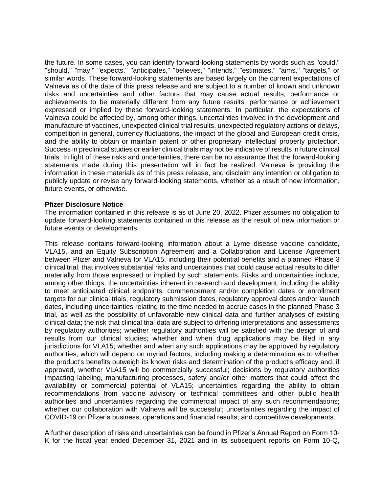the future. In some cases, you can identify forward-looking statements by words such as "could," "should," "may," "expects," "anticipates," "believes," "intends," "estimates," "aims," "targets," or similar words. These forward-looking statements are based largely on the current expectations of Valneva as of the date of this press release and are subject to a number of known and unknown risks and uncertainties and other factors that may cause actual results, performance or achievements to be materially different from any future results, performance or achievement expressed or implied by these forward-looking statements. In particular, the expectations of Valneva could be affected by, among other things, uncertainties involved in the development and manufacture of vaccines, unexpected clinical trial results, unexpected regulatory actions or delays, competition in general, currency fluctuations, the impact of the global and European credit crisis, and the ability to obtain or maintain patent or other proprietary intellectual property protection. Success in preclinical studies or earlier clinical trials may not be indicative of results in future clinical trials. In light of these risks and uncertainties, there can be no assurance that the forward-looking statements made during this presentation will in fact be realized. Valneva is providing the information in these materials as of this press release, and disclaim any intention or obligation to publicly update or revise any forward-looking statements, whether as a result of new information, future events, or otherwise.

### **Pfizer Disclosure Notice**

The information contained in this release is as of June 20, 2022. Pfizer assumes no obligation to update forward-looking statements contained in this release as the result of new information or future events or developments.

This release contains forward-looking information about a Lyme disease vaccine candidate, VLA15, and an Equity Subscription Agreement and a Collaboration and License Agreement between Pfizer and Valneva for VLA15, including their potential benefits and a planned Phase 3 clinical trial, that involves substantial risks and uncertainties that could cause actual results to differ materially from those expressed or implied by such statements. Risks and uncertainties include, among other things, the uncertainties inherent in research and development, including the ability to meet anticipated clinical endpoints, commencement and/or completion dates or enrollment targets for our clinical trials, regulatory submission dates, regulatory approval dates and/or launch dates, including uncertainties relating to the time needed to accrue cases in the planned Phase 3 trial, as well as the possibility of unfavorable new clinical data and further analyses of existing clinical data; the risk that clinical trial data are subject to differing interpretations and assessments by regulatory authorities; whether regulatory authorities will be satisfied with the design of and results from our clinical studies; whether and when drug applications may be filed in any jurisdictions for VLA15; whether and when any such applications may be approved by regulatory authorities, which will depend on myriad factors, including making a determination as to whether the product's benefits outweigh its known risks and determination of the product's efficacy and, if approved, whether VLA15 will be commercially successful; decisions by regulatory authorities impacting labeling, manufacturing processes, safety and/or other matters that could affect the availability or commercial potential of VLA15; uncertainties regarding the ability to obtain recommendations from vaccine advisory or technical committees and other public health authorities and uncertainties regarding the commercial impact of any such recommendations; whether our collaboration with Valneva will be successful; uncertainties regarding the impact of COVID-19 on Pfizer's business, operations and financial results; and competitive developments.

A further description of risks and uncertainties can be found in Pfizer's Annual Report on Form 10- K for the fiscal year ended December 31, 2021 and in its subsequent reports on Form 10-Q,